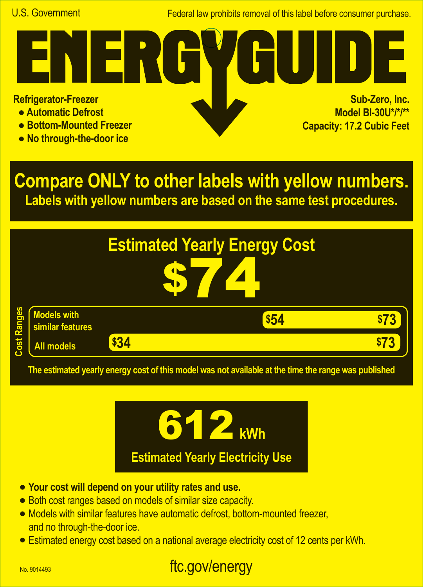Federal law prohibits removal of this label before consumer purchase.

**Refrigerator-Freezer**

- **Automatic Defrost**
- **Bottom-Mounted Freezer**
- **No through-the-door ice**

**Sub-Zero, Inc. Model BI-30U\*/\*/\*\* Capacity: 17.2 Cubic Feet A**

**Compare ONLY to other labels with yellow numbers. Labels with yellow numbers are based on the same test procedures.**



**The estimated yearly energy cost of this model was not available at the time the range was published**



- **• Your cost will depend on your utility rates and use.**
- **•** Both cost ranges based on models of similar size capacity.
- **•** Models with similar features have automatic defrost, bottom-mounted freezer, and no through-the-door ice.
- **•** Estimated energy cost based on a national average electricity cost of 12 cents per kWh.

## ftc.gov/energy